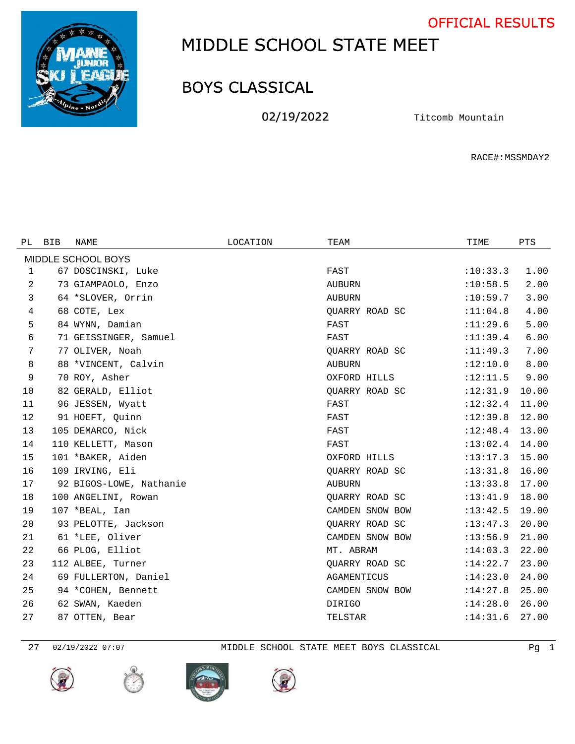OFFICIAL RESULTS



## MIDDLE SCHOOL STATE MEET

## BOYS CLASSICAL

02/19/2022 Titcomb Mountain

RACE#:MSSMDAY2

| PL. | <b>BIB</b> | NAME                    | LOCATION | TEAM            | TIME       | <b>PTS</b> |
|-----|------------|-------------------------|----------|-----------------|------------|------------|
|     |            | MIDDLE SCHOOL BOYS      |          |                 |            |            |
| 1   |            | 67 DOSCINSKI, Luke      |          | FAST            | :10:33.3   | 1.00       |
| 2   |            | 73 GIAMPAOLO, Enzo      |          | <b>AUBURN</b>   | :10:58.5   | 2.00       |
| 3   |            | 64 *SLOVER, Orrin       |          | AUBURN          | :10:59.7   | 3.00       |
| 4   |            | 68 COTE, Lex            |          | OUARRY ROAD SC  | : 11:04.8  | 4.00       |
| 5   |            | 84 WYNN, Damian         |          | FAST            | :11:29.6   | 5.00       |
| 6   |            | 71 GEISSINGER, Samuel   |          | FAST            | : 11: 39.4 | 6.00       |
| 7   |            | 77 OLIVER, Noah         |          | OUARRY ROAD SC  | :11:49.3   | 7.00       |
| 8   |            | 88 *VINCENT, Calvin     |          | <b>AUBURN</b>   | :12:10.0   | 8.00       |
| 9   |            | 70 ROY, Asher           |          | OXFORD HILLS    | :12:11.5   | 9.00       |
| 10  |            | 82 GERALD, Elliot       |          | OUARRY ROAD SC  | :12:31.9   | 10.00      |
| 11  |            | 96 JESSEN, Wyatt        |          | FAST            | :12:32.4   | 11.00      |
| 12  |            | 91 HOEFT, Ouinn         |          | FAST            | :12:39.8   | 12.00      |
| 13  |            | 105 DEMARCO, Nick       |          | FAST            | :12:48.4   | 13.00      |
| 14  |            | 110 KELLETT, Mason      |          | FAST            | :13:02.4   | 14.00      |
| 15  |            | 101 *BAKER, Aiden       |          | OXFORD HILLS    | :13:17.3   | 15.00      |
| 16  |            | 109 IRVING, Eli         |          | OUARRY ROAD SC  | :13:31.8   | 16.00      |
| 17  |            | 92 BIGOS-LOWE, Nathanie |          | <b>AUBURN</b>   | :13:33.8   | 17.00      |
| 18  |            | 100 ANGELINI, Rowan     |          | OUARRY ROAD SC  | :13:41.9   | 18.00      |
| 19  |            | 107 *BEAL, Ian          |          | CAMDEN SNOW BOW | :13:42.5   | 19.00      |
| 20  |            | 93 PELOTTE, Jackson     |          | QUARRY ROAD SC  | : 13: 47.3 | 20.00      |
| 21  |            | 61 *LEE, Oliver         |          | CAMDEN SNOW BOW | :13:56.9   | 21.00      |
| 22  |            | 66 PLOG, Elliot         |          | MT. ABRAM       | :14:03.3   | 22.00      |
| 23  |            | 112 ALBEE, Turner       |          | QUARRY ROAD SC  | :14:22.7   | 23.00      |
| 24  |            | 69 FULLERTON, Daniel    |          | AGAMENTICUS     | :14:23.0   | 24.00      |
| 25  |            | 94 *COHEN, Bennett      |          | CAMDEN SNOW BOW | :14:27.8   | 25.00      |
| 26  |            | 62 SWAN, Kaeden         |          | <b>DIRIGO</b>   | :14:28.0   | 26.00      |
| 27  |            | 87 OTTEN, Bear          |          | TELSTAR         | :14:31.6   | 27.00      |







02/19/2022 07:07 MIDDLE SCHOOL STATE MEET BOYS CLASSICAL Pg 1